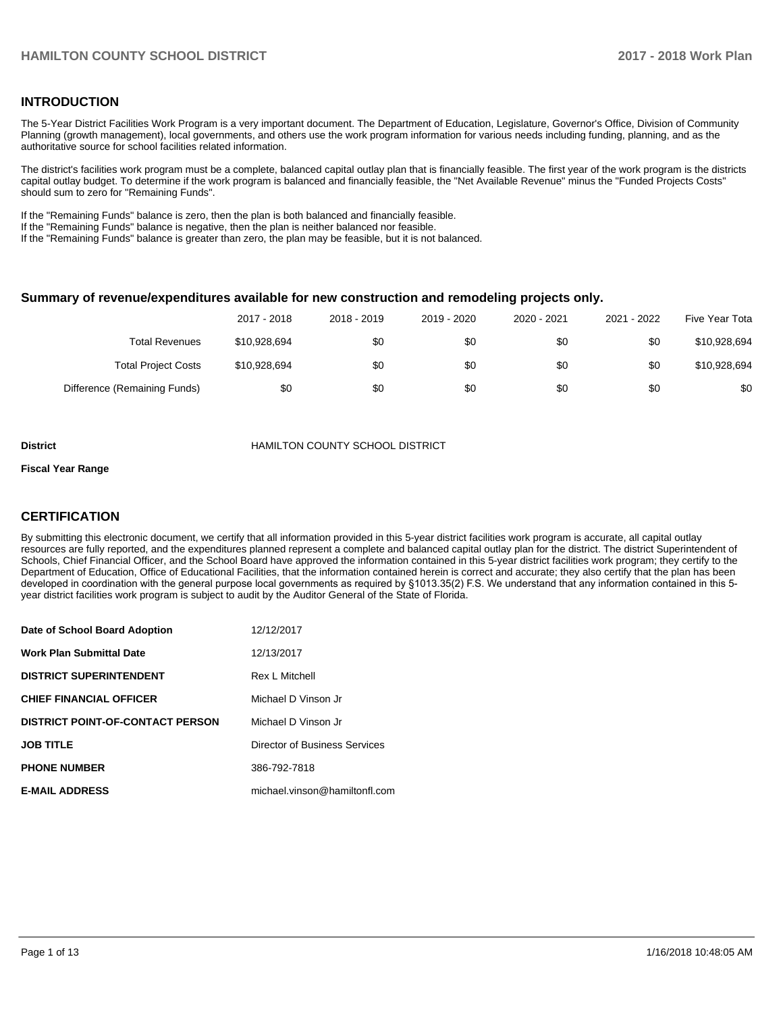### **INTRODUCTION**

The 5-Year District Facilities Work Program is a very important document. The Department of Education, Legislature, Governor's Office, Division of Community Planning (growth management), local governments, and others use the work program information for various needs including funding, planning, and as the authoritative source for school facilities related information.

The district's facilities work program must be a complete, balanced capital outlay plan that is financially feasible. The first year of the work program is the districts capital outlay budget. To determine if the work program is balanced and financially feasible, the "Net Available Revenue" minus the "Funded Projects Costs" should sum to zero for "Remaining Funds".

If the "Remaining Funds" balance is zero, then the plan is both balanced and financially feasible.

If the "Remaining Funds" balance is negative, then the plan is neither balanced nor feasible.

If the "Remaining Funds" balance is greater than zero, the plan may be feasible, but it is not balanced.

#### **Summary of revenue/expenditures available for new construction and remodeling projects only.**

| Five Year Tota | 2021 - 2022 | 2020 - 2021 | 2019 - 2020 | 2018 - 2019 | 2017 - 2018  |                              |
|----------------|-------------|-------------|-------------|-------------|--------------|------------------------------|
| \$10,928,694   | \$0         | \$0         | \$0         | \$0         | \$10,928,694 | <b>Total Revenues</b>        |
| \$10,928,694   | \$0         | \$0         | \$0         | \$0         | \$10,928,694 | <b>Total Project Costs</b>   |
| \$0            | \$0         | \$0         | \$0         | \$0         | \$0          | Difference (Remaining Funds) |

#### **District COUNTY SCHOOL DISTRICT**

#### **Fiscal Year Range**

## **CERTIFICATION**

By submitting this electronic document, we certify that all information provided in this 5-year district facilities work program is accurate, all capital outlay resources are fully reported, and the expenditures planned represent a complete and balanced capital outlay plan for the district. The district Superintendent of Schools, Chief Financial Officer, and the School Board have approved the information contained in this 5-year district facilities work program; they certify to the Department of Education, Office of Educational Facilities, that the information contained herein is correct and accurate; they also certify that the plan has been developed in coordination with the general purpose local governments as required by §1013.35(2) F.S. We understand that any information contained in this 5year district facilities work program is subject to audit by the Auditor General of the State of Florida.

| Date of School Board Adoption           | 12/12/2017                    |
|-----------------------------------------|-------------------------------|
| Work Plan Submittal Date                | 12/13/2017                    |
| <b>DISTRICT SUPERINTENDENT</b>          | <b>Rex L Mitchell</b>         |
| <b>CHIEF FINANCIAL OFFICER</b>          | Michael D Vinson Jr           |
| <b>DISTRICT POINT-OF-CONTACT PERSON</b> | Michael D Vinson Jr           |
| JOB TITLE                               | Director of Business Services |
| <b>PHONE NUMBER</b>                     | 386-792-7818                  |
| <b>E-MAIL ADDRESS</b>                   | michael.vinson@hamiltonfl.com |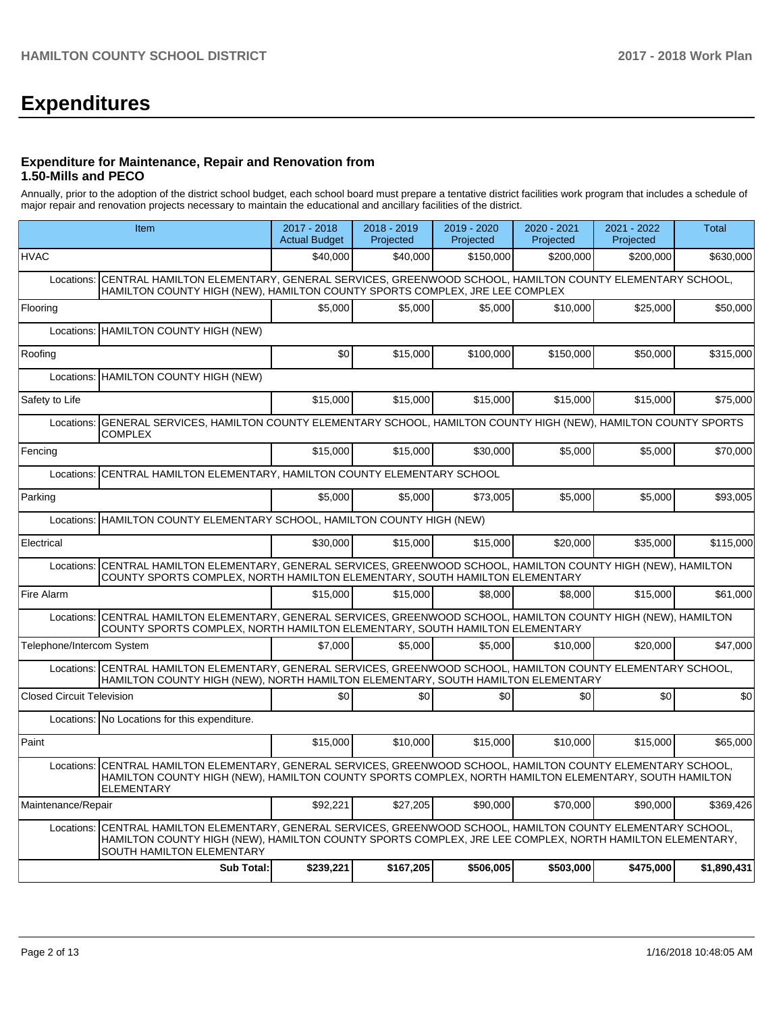# **Expenditures**

#### **Expenditure for Maintenance, Repair and Renovation from 1.50-Mills and PECO**

Annually, prior to the adoption of the district school budget, each school board must prepare a tentative district facilities work program that includes a schedule of major repair and renovation projects necessary to maintain the educational and ancillary facilities of the district.

|                                  | Item                                                                                                                                                                                                                                        | $2017 - 2018$<br><b>Actual Budget</b> | 2018 - 2019<br>Projected | 2019 - 2020<br>Projected | 2020 - 2021<br>Projected | 2021 - 2022<br>Projected | <b>Total</b> |  |  |
|----------------------------------|---------------------------------------------------------------------------------------------------------------------------------------------------------------------------------------------------------------------------------------------|---------------------------------------|--------------------------|--------------------------|--------------------------|--------------------------|--------------|--|--|
| <b>HVAC</b>                      |                                                                                                                                                                                                                                             | \$40,000                              | \$40,000                 | \$150,000                | \$200,000                | \$200,000                | \$630,000    |  |  |
| Locations:                       | CENTRAL HAMILTON ELEMENTARY, GENERAL SERVICES, GREENWOOD SCHOOL, HAMILTON COUNTY ELEMENTARY SCHOOL,<br>HAMILTON COUNTY HIGH (NEW), HAMILTON COUNTY SPORTS COMPLEX, JRE LEE COMPLEX                                                          |                                       |                          |                          |                          |                          |              |  |  |
| Flooring                         |                                                                                                                                                                                                                                             | \$5,000                               | \$5,000                  | \$5,000                  | \$10,000                 | \$25,000                 | \$50,000     |  |  |
| Locations:                       | HAMILTON COUNTY HIGH (NEW)                                                                                                                                                                                                                  |                                       |                          |                          |                          |                          |              |  |  |
| Roofing                          |                                                                                                                                                                                                                                             | \$0                                   | \$15,000                 | \$100,000                | \$150,000                | \$50,000                 | \$315,000    |  |  |
| Locations:                       | HAMILTON COUNTY HIGH (NEW)                                                                                                                                                                                                                  |                                       |                          |                          |                          |                          |              |  |  |
| Safety to Life                   |                                                                                                                                                                                                                                             | \$15,000                              | \$15,000                 | \$15,000                 | \$15,000                 | \$15,000                 | \$75,000     |  |  |
| Locations:                       | GENERAL SERVICES, HAMILTON COUNTY ELEMENTARY SCHOOL, HAMILTON COUNTY HIGH (NEW), HAMILTON COUNTY SPORTS<br><b>COMPLEX</b>                                                                                                                   |                                       |                          |                          |                          |                          |              |  |  |
| Fencing                          |                                                                                                                                                                                                                                             | \$15,000                              | \$15,000                 | \$30,000                 | \$5,000                  | \$5.000                  | \$70,000     |  |  |
| Locations:                       | CENTRAL HAMILTON ELEMENTARY, HAMILTON COUNTY ELEMENTARY SCHOOL                                                                                                                                                                              |                                       |                          |                          |                          |                          |              |  |  |
| Parking                          |                                                                                                                                                                                                                                             | \$5,000                               | \$5,000                  | \$73,005                 | \$5,000                  | \$5,000                  | \$93,005     |  |  |
|                                  | Locations: HAMILTON COUNTY ELEMENTARY SCHOOL, HAMILTON COUNTY HIGH (NEW)                                                                                                                                                                    |                                       |                          |                          |                          |                          |              |  |  |
| Electrical                       |                                                                                                                                                                                                                                             | \$30,000                              | \$15,000                 | \$15,000                 | \$20,000                 | \$35,000                 | \$115,000    |  |  |
| Locations:                       | CENTRAL HAMILTON ELEMENTARY, GENERAL SERVICES, GREENWOOD SCHOOL, HAMILTON COUNTY HIGH (NEW), HAMILTON<br>COUNTY SPORTS COMPLEX, NORTH HAMILTON ELEMENTARY, SOUTH HAMILTON ELEMENTARY                                                        |                                       |                          |                          |                          |                          |              |  |  |
| Fire Alarm                       |                                                                                                                                                                                                                                             | \$15,000                              | \$15,000                 | \$8,000                  | \$8,000                  | \$15,000                 | \$61,000     |  |  |
| Locations:                       | CENTRAL HAMILTON ELEMENTARY, GENERAL SERVICES, GREENWOOD SCHOOL, HAMILTON COUNTY HIGH (NEW), HAMILTON<br>COUNTY SPORTS COMPLEX, NORTH HAMILTON ELEMENTARY, SOUTH HAMILTON ELEMENTARY                                                        |                                       |                          |                          |                          |                          |              |  |  |
| Telephone/Intercom System        |                                                                                                                                                                                                                                             | \$7,000                               | \$5.000                  | \$5,000                  | \$10,000                 | \$20,000                 | \$47,000     |  |  |
|                                  | Locations: CENTRAL HAMILTON ELEMENTARY, GENERAL SERVICES, GREENWOOD SCHOOL, HAMILTON COUNTY ELEMENTARY SCHOOL,<br>HAMILTON COUNTY HIGH (NEW), NORTH HAMILTON ELEMENTARY, SOUTH HAMILTON ELEMENTARY                                          |                                       |                          |                          |                          |                          |              |  |  |
| <b>Closed Circuit Television</b> |                                                                                                                                                                                                                                             | \$0                                   | \$0                      | \$0                      | \$0                      | \$0                      | \$0          |  |  |
|                                  | Locations: No Locations for this expenditure.                                                                                                                                                                                               |                                       |                          |                          |                          |                          |              |  |  |
| Paint                            |                                                                                                                                                                                                                                             | \$15,000                              | \$10,000                 | \$15,000                 | \$10,000                 | \$15,000                 | \$65,000     |  |  |
|                                  | Locations: CENTRAL HAMILTON ELEMENTARY, GENERAL SERVICES, GREENWOOD SCHOOL, HAMILTON COUNTY ELEMENTARY SCHOOL,<br>HAMILTON COUNTY HIGH (NEW), HAMILTON COUNTY SPORTS COMPLEX, NORTH HAMILTON ELEMENTARY, SOUTH HAMILTON<br>ELEMENTARY       |                                       |                          |                          |                          |                          |              |  |  |
| Maintenance/Repair               |                                                                                                                                                                                                                                             | \$92.221                              | \$27,205                 | \$90,000                 | \$70,000                 | \$90,000                 | \$369.426    |  |  |
| Locations:                       | CENTRAL HAMILTON ELEMENTARY, GENERAL SERVICES, GREENWOOD SCHOOL, HAMILTON COUNTY ELEMENTARY SCHOOL,<br>HAMILTON COUNTY HIGH (NEW), HAMILTON COUNTY SPORTS COMPLEX, JRE LEE COMPLEX, NORTH HAMILTON ELEMENTARY,<br>SOUTH HAMILTON ELEMENTARY |                                       |                          |                          |                          |                          |              |  |  |
|                                  | <b>Sub Total:</b>                                                                                                                                                                                                                           | \$239,221                             | \$167,205                | \$506.005                | \$503,000                | \$475,000                | \$1,890,431  |  |  |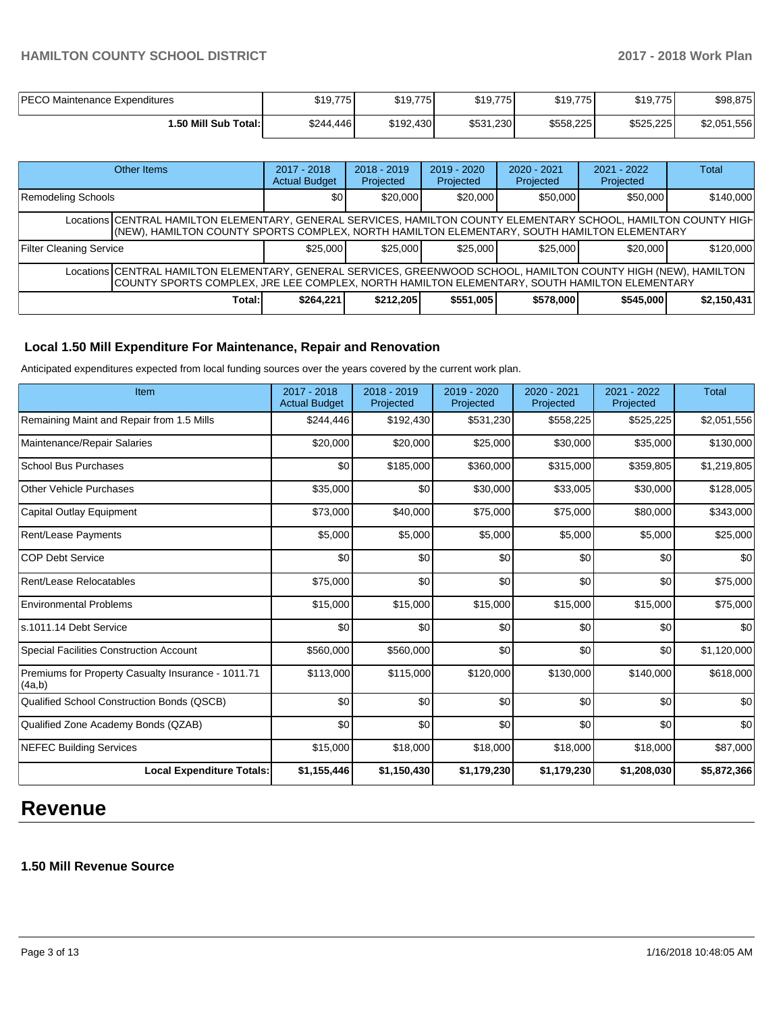# **HAMILTON COUNTY SCHOOL DISTRICT 2017 - 2018 Work Plan**

| <b>PECO Maintenance Expenditures</b> | \$19,775  | \$19,775  | \$19,775  | \$19,775  | \$19,775  | \$98,875    |
|--------------------------------------|-----------|-----------|-----------|-----------|-----------|-------------|
| 50 Mill Sub Total:I                  | \$244,446 | \$192,430 | \$531,230 | \$558,225 | \$525,225 | \$2,051,556 |

|                                                                                                                                                                                                                 | Other Items                                                                                                                                                                                                     | $2017 - 2018$<br><b>Actual Budget</b> | $2018 - 2019$<br>Projected | $2019 - 2020$<br>Projected | $2020 - 2021$<br>Projected | $2021 - 2022$<br>Projected | Total       |  |  |
|-----------------------------------------------------------------------------------------------------------------------------------------------------------------------------------------------------------------|-----------------------------------------------------------------------------------------------------------------------------------------------------------------------------------------------------------------|---------------------------------------|----------------------------|----------------------------|----------------------------|----------------------------|-------------|--|--|
| Remodeling Schools                                                                                                                                                                                              |                                                                                                                                                                                                                 | \$0                                   | \$20,000                   | \$20,000                   | \$50,000                   | \$50,000                   | \$140,000   |  |  |
|                                                                                                                                                                                                                 | Locations CENTRAL HAMILTON ELEMENTARY, GENERAL SERVICES, HAMILTON COUNTY ELEMENTARY SCHOOL, HAMILTON COUNTY HIGH<br>(NEW), HAMILTON COUNTY SPORTS COMPLEX, NORTH HAMILTON ELEMENTARY, SOUTH HAMILTON ELEMENTARY |                                       |                            |                            |                            |                            |             |  |  |
| <b>Filter Cleaning Service</b>                                                                                                                                                                                  |                                                                                                                                                                                                                 | \$25.000                              | \$25,000                   | \$25.000                   | \$25,000                   | \$20,000                   | \$120,000   |  |  |
| Locations CENTRAL HAMILTON ELEMENTARY, GENERAL SERVICES, GREENWOOD SCHOOL, HAMILTON COUNTY HIGH (NEW), HAMILTON<br>COUNTY SPORTS COMPLEX, JRE LEE COMPLEX, NORTH HAMILTON ELEMENTARY, SOUTH HAMILTON ELEMENTARY |                                                                                                                                                                                                                 |                                       |                            |                            |                            |                            |             |  |  |
|                                                                                                                                                                                                                 | Total:                                                                                                                                                                                                          | \$264,221                             | \$212,205                  | \$551,005                  | \$578,000                  | \$545,000                  | \$2,150,431 |  |  |

## **Local 1.50 Mill Expenditure For Maintenance, Repair and Renovation**

Anticipated expenditures expected from local funding sources over the years covered by the current work plan.

| Item                                                         | 2017 - 2018<br><b>Actual Budget</b> | 2018 - 2019<br>Projected | 2019 - 2020<br>Projected | 2020 - 2021<br>Projected | 2021 - 2022<br>Projected | <b>Total</b> |
|--------------------------------------------------------------|-------------------------------------|--------------------------|--------------------------|--------------------------|--------------------------|--------------|
| Remaining Maint and Repair from 1.5 Mills                    | \$244,446                           | \$192,430                | \$531,230                | \$558,225                | \$525,225                | \$2,051,556  |
| Maintenance/Repair Salaries                                  | \$20,000                            | \$20,000                 | \$25,000                 | \$30,000                 | \$35,000                 | \$130,000    |
| <b>School Bus Purchases</b>                                  | \$0                                 | \$185,000                | \$360,000                | \$315,000                | \$359,805                | \$1,219,805  |
| <b>Other Vehicle Purchases</b>                               | \$35,000                            | \$0                      | \$30,000                 | \$33,005                 | \$30,000                 | \$128,005    |
| Capital Outlay Equipment                                     | \$73,000                            | \$40,000                 | \$75,000                 | \$75,000                 | \$80,000                 | \$343,000    |
| Rent/Lease Payments                                          | \$5,000                             | \$5,000                  | \$5,000                  | \$5,000                  | \$5,000                  | \$25,000     |
| <b>COP Debt Service</b>                                      | \$0                                 | \$0                      | \$0                      | \$0                      | \$0                      | \$0          |
| Rent/Lease Relocatables                                      | \$75,000                            | \$0                      | \$0                      | \$0                      | \$0                      | \$75,000     |
| <b>Environmental Problems</b>                                | \$15,000                            | \$15,000                 | \$15,000                 | \$15,000                 | \$15,000                 | \$75,000     |
| s.1011.14 Debt Service                                       | \$0                                 | \$0                      | \$0                      | \$0                      | \$0                      | \$0          |
| <b>Special Facilities Construction Account</b>               | \$560,000                           | \$560,000                | \$0                      | \$0                      | \$0                      | \$1,120,000  |
| Premiums for Property Casualty Insurance - 1011.71<br>(4a,b) | \$113,000                           | \$115,000                | \$120,000                | \$130,000                | \$140,000                | \$618,000    |
| Qualified School Construction Bonds (QSCB)                   | \$0                                 | \$0                      | \$0                      | \$0                      | \$0                      | \$0          |
| Qualified Zone Academy Bonds (QZAB)                          | \$0                                 | \$0                      | \$0                      | \$0                      | \$0                      | \$0          |
| <b>NEFEC Building Services</b>                               | \$15,000                            | \$18,000                 | \$18,000                 | \$18,000                 | \$18,000                 | \$87,000     |
| <b>Local Expenditure Totals:</b>                             | \$1,155,446                         | \$1,150,430              | \$1,179,230              | \$1,179,230              | \$1,208,030              | \$5,872,366  |

# **Revenue**

# **1.50 Mill Revenue Source**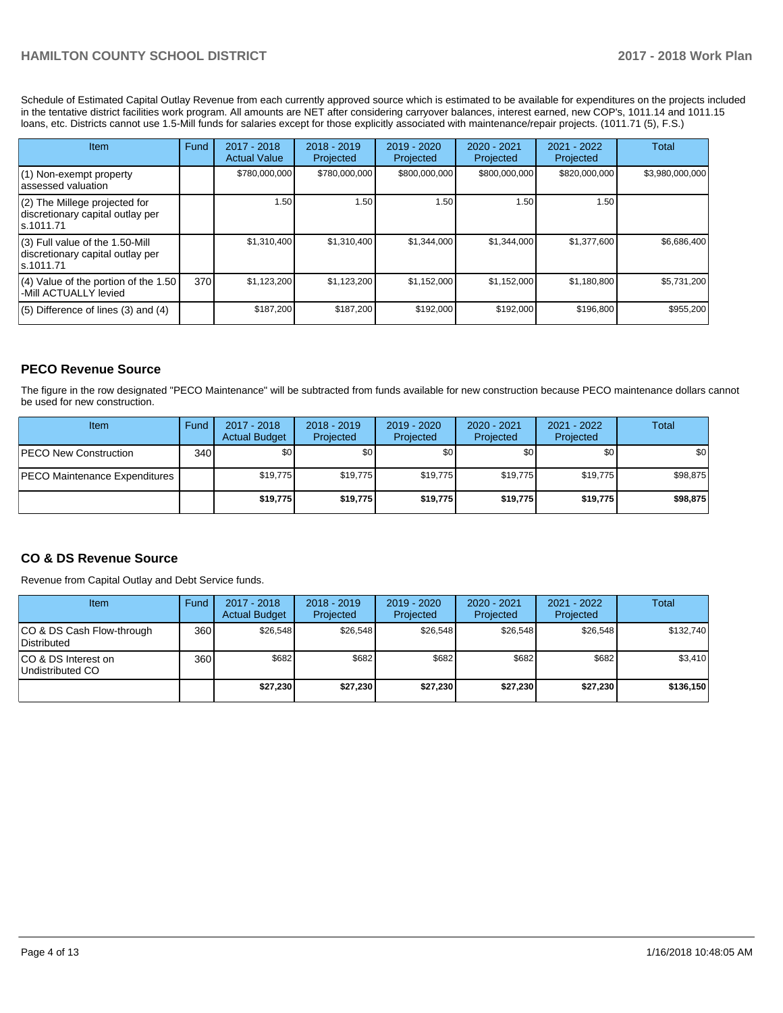Schedule of Estimated Capital Outlay Revenue from each currently approved source which is estimated to be available for expenditures on the projects included in the tentative district facilities work program. All amounts are NET after considering carryover balances, interest earned, new COP's, 1011.14 and 1011.15 loans, etc. Districts cannot use 1.5-Mill funds for salaries except for those explicitly associated with maintenance/repair projects. (1011.71 (5), F.S.)

| Item                                                                                | Fund | 2017 - 2018<br><b>Actual Value</b> | $2018 - 2019$<br>Projected | $2019 - 2020$<br>Projected | $2020 - 2021$<br>Projected | 2021 - 2022<br>Projected | Total           |
|-------------------------------------------------------------------------------------|------|------------------------------------|----------------------------|----------------------------|----------------------------|--------------------------|-----------------|
| (1) Non-exempt property<br>lassessed valuation                                      |      | \$780,000,000                      | \$780,000,000              | \$800,000,000              | \$800,000,000              | \$820,000,000            | \$3,980,000,000 |
| $(2)$ The Millege projected for<br>discretionary capital outlay per<br>ls.1011.71   |      | 1.50                               | 1.50                       | 1.50                       | 1.50                       | 1.50                     |                 |
| $(3)$ Full value of the 1.50-Mill<br>discretionary capital outlay per<br>ls.1011.71 |      | \$1,310,400                        | \$1,310,400                | \$1,344,000                | \$1,344,000                | \$1,377,600              | \$6,686,400     |
| $(4)$ Value of the portion of the 1.50<br>-Mill ACTUALLY levied                     | 370  | \$1,123,200                        | \$1,123,200                | \$1,152,000                | \$1,152,000                | \$1,180,800              | \$5,731,200     |
| $(5)$ Difference of lines $(3)$ and $(4)$                                           |      | \$187,200                          | \$187,200                  | \$192,000                  | \$192,000                  | \$196,800                | \$955,200       |

# **PECO Revenue Source**

The figure in the row designated "PECO Maintenance" will be subtracted from funds available for new construction because PECO maintenance dollars cannot be used for new construction.

| Item                          | Fund | 2017 - 2018<br><b>Actual Budget</b> | $2018 - 2019$<br>Projected | $2019 - 2020$<br>Projected | $2020 - 2021$<br>Projected | 2021 - 2022<br>Projected | Total    |
|-------------------------------|------|-------------------------------------|----------------------------|----------------------------|----------------------------|--------------------------|----------|
| <b>PECO New Construction</b>  | 340  | \$0                                 | \$0                        | \$0                        | \$0                        | \$0                      | \$0      |
| PECO Maintenance Expenditures |      | \$19,775                            | \$19,775                   | \$19,775                   | \$19.775                   | \$19,775                 | \$98,875 |
|                               |      | \$19,775                            | \$19,775                   | \$19,775                   | \$19,775                   | \$19,775                 | \$98,875 |

# **CO & DS Revenue Source**

Revenue from Capital Outlay and Debt Service funds.

| Item                                      | Fund  | $2017 - 2018$<br><b>Actual Budget</b> | $2018 - 2019$<br>Projected | 2019 - 2020<br>Projected | $2020 - 2021$<br>Projected | 2021 - 2022<br>Projected | <b>Total</b> |
|-------------------------------------------|-------|---------------------------------------|----------------------------|--------------------------|----------------------------|--------------------------|--------------|
| ICO & DS Cash Flow-through<br>Distributed | 360 l | \$26.548                              | \$26.548                   | \$26.548                 | \$26.548                   | \$26.548                 | \$132,740    |
| ICO & DS Interest on<br>Undistributed CO  | 360 l | \$682                                 | \$682                      | \$682                    | \$682                      | \$682                    | \$3,410      |
|                                           |       | \$27,230                              | \$27,230                   | \$27,230                 | \$27.230                   | \$27,230                 | \$136,150    |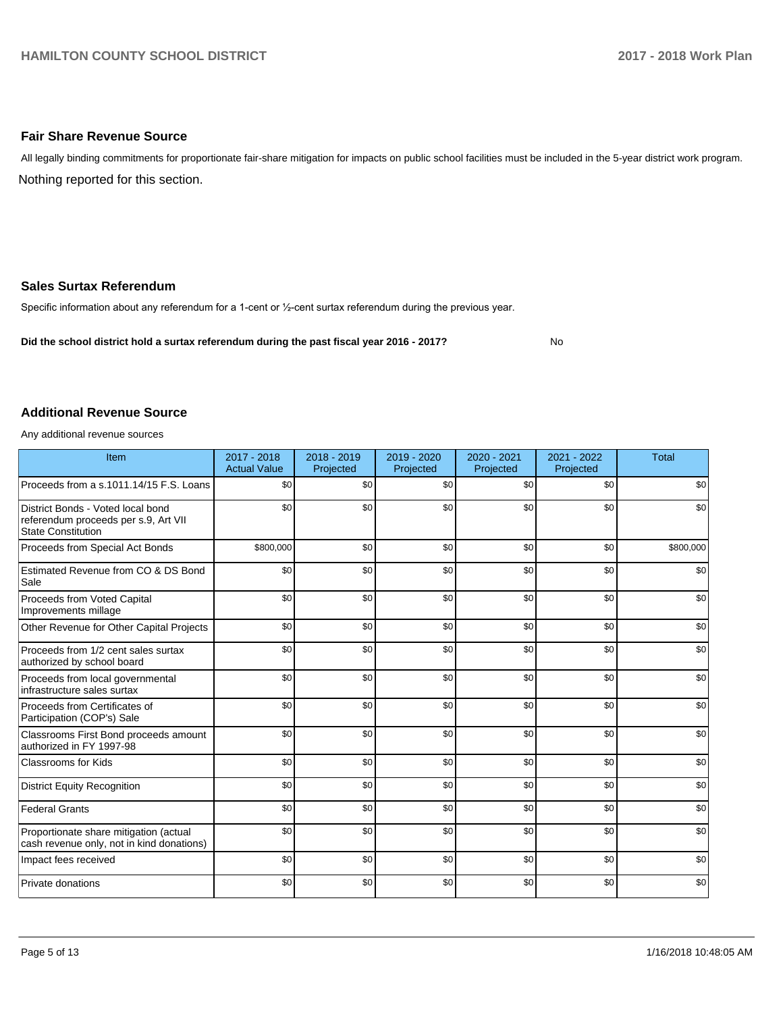### **Fair Share Revenue Source**

Nothing reported for this section. All legally binding commitments for proportionate fair-share mitigation for impacts on public school facilities must be included in the 5-year district work program.

#### **Sales Surtax Referendum**

Specific information about any referendum for a 1-cent or 1/2-cent surtax referendum during the previous year.

**Did the school district hold a surtax referendum during the past fiscal year 2016 - 2017?**

No

#### **Additional Revenue Source**

Any additional revenue sources

| Item                                                                                                   | $2017 - 2018$<br><b>Actual Value</b> | $2018 - 2019$<br>Projected | 2019 - 2020<br>Projected | 2020 - 2021<br>Projected | 2021 - 2022<br>Projected | <b>Total</b> |
|--------------------------------------------------------------------------------------------------------|--------------------------------------|----------------------------|--------------------------|--------------------------|--------------------------|--------------|
| Proceeds from a s.1011.14/15 F.S. Loans                                                                | \$0                                  | \$0                        | \$0                      | \$0                      | \$0                      | \$0          |
| District Bonds - Voted local bond<br>referendum proceeds per s.9, Art VII<br><b>State Constitution</b> | \$0                                  | \$0                        | \$0                      | \$0                      | \$0                      | \$0          |
| Proceeds from Special Act Bonds                                                                        | \$800,000                            | \$0                        | \$0                      | \$0                      | \$0                      | \$800,000    |
| Estimated Revenue from CO & DS Bond<br>Sale                                                            | \$0                                  | \$0                        | \$0                      | \$0                      | \$0                      | \$0          |
| Proceeds from Voted Capital<br>Improvements millage                                                    | \$0                                  | \$0                        | \$0                      | \$0                      | \$0                      | \$0          |
| Other Revenue for Other Capital Projects                                                               | \$0                                  | \$0                        | \$0                      | \$0                      | \$0                      | \$0          |
| Proceeds from 1/2 cent sales surtax<br>authorized by school board                                      | \$0                                  | \$0                        | \$0                      | \$0                      | \$0                      | \$0          |
| Proceeds from local governmental<br>infrastructure sales surtax                                        | \$0                                  | \$0                        | \$0                      | \$0                      | \$0                      | \$0          |
| Proceeds from Certificates of<br>Participation (COP's) Sale                                            | \$0                                  | \$0                        | \$0                      | \$0                      | \$0                      | \$0          |
| Classrooms First Bond proceeds amount<br>authorized in FY 1997-98                                      | \$0                                  | \$0                        | \$0                      | \$0                      | \$0                      | \$0          |
| <b>Classrooms for Kids</b>                                                                             | \$0                                  | \$0                        | \$0                      | \$0                      | \$0                      | \$0          |
| <b>District Equity Recognition</b>                                                                     | \$0                                  | \$0                        | \$0                      | \$0                      | \$0                      | \$0          |
| <b>Federal Grants</b>                                                                                  | \$0                                  | \$0                        | \$0                      | \$0                      | \$0                      | \$0          |
| Proportionate share mitigation (actual<br>cash revenue only, not in kind donations)                    | \$0                                  | \$0                        | \$0                      | \$0                      | \$0                      | \$0          |
| Impact fees received                                                                                   | \$0                                  | \$0                        | \$0                      | \$0                      | \$0                      | \$0          |
| Private donations                                                                                      | \$0                                  | \$0                        | \$0                      | \$0                      | \$0                      | \$0          |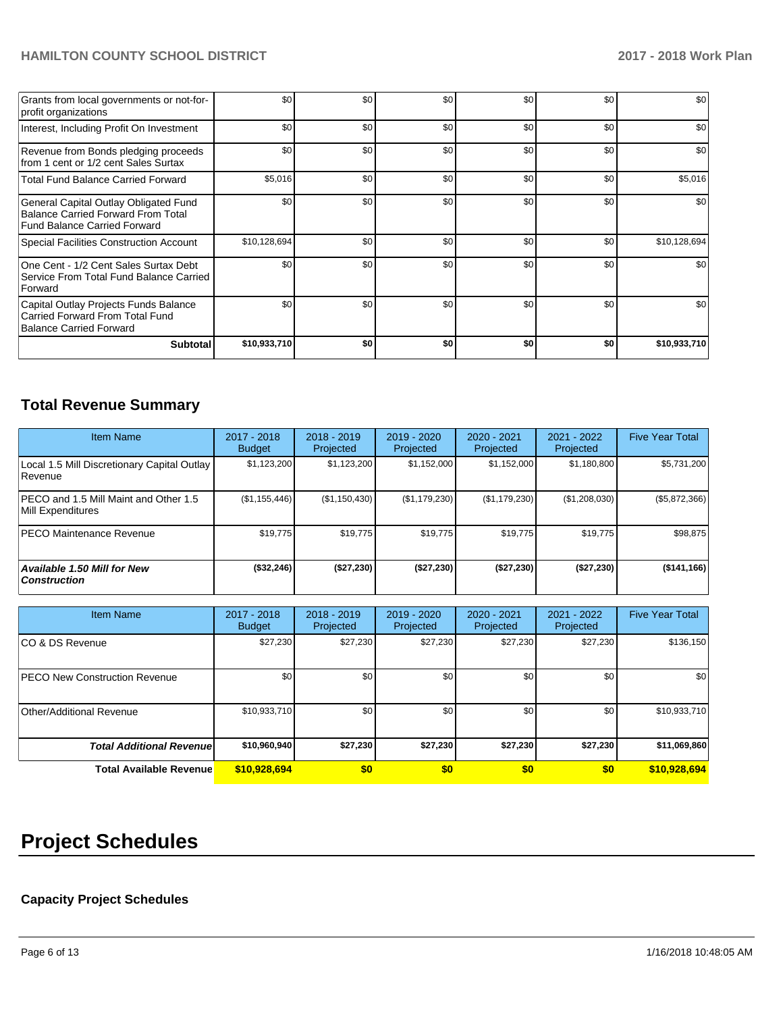# **HAMILTON COUNTY SCHOOL DISTRICT 2017 - 2018 Work Plan**

| Grants from local governments or not-for-<br>profit organizations                                                         | \$0          | \$0 | \$0 | \$0 | \$0 | \$0          |
|---------------------------------------------------------------------------------------------------------------------------|--------------|-----|-----|-----|-----|--------------|
| Interest, Including Profit On Investment                                                                                  | \$0          | \$0 | \$0 | \$0 | \$0 | \$0          |
| Revenue from Bonds pledging proceeds<br>from 1 cent or 1/2 cent Sales Surtax                                              | \$0          | \$0 | \$0 | \$0 | \$0 | \$0          |
| <b>Total Fund Balance Carried Forward</b>                                                                                 | \$5,016      | \$0 | \$0 | \$0 | \$0 | \$5,016      |
| General Capital Outlay Obligated Fund<br><b>Balance Carried Forward From Total</b><br><b>Fund Balance Carried Forward</b> | \$0          | \$0 | \$0 | \$0 | \$0 | \$0          |
| <b>Special Facilities Construction Account</b>                                                                            | \$10,128,694 | \$0 | \$0 | \$0 | \$0 | \$10,128,694 |
| One Cent - 1/2 Cent Sales Surtax Debt<br>Service From Total Fund Balance Carried<br>Forward                               | \$0          | \$0 | \$0 | \$0 | \$0 | \$0          |
| Capital Outlay Projects Funds Balance<br>Carried Forward From Total Fund<br>Balance Carried Forward                       | \$0          | \$0 | \$0 | \$0 | \$0 | \$0          |
| <b>Subtotal</b>                                                                                                           | \$10,933,710 | \$0 | \$0 | \$0 | \$0 | \$10,933,710 |

# **Total Revenue Summary**

| <b>Item Name</b>                                              | 2017 - 2018<br><b>Budget</b> | $2018 - 2019$<br>Projected | $2019 - 2020$<br>Projected | 2020 - 2021<br>Projected | 2021 - 2022<br>Projected | <b>Five Year Total</b> |
|---------------------------------------------------------------|------------------------------|----------------------------|----------------------------|--------------------------|--------------------------|------------------------|
| Local 1.5 Mill Discretionary Capital Outlay<br><b>Revenue</b> | \$1,123,200                  | \$1,123,200                | \$1,152,000                | \$1,152,000              | \$1,180,800              | \$5,731,200            |
| PECO and 1.5 Mill Maint and Other 1.5<br>Mill Expenditures    | (\$1,155,446)                | (\$1,150,430)              | (\$1,179,230)              | (\$1,179,230)            | (\$1,208,030)            | (\$5,872,366)          |
| <b>PECO Maintenance Revenue</b>                               | \$19,775                     | \$19,775                   | \$19,775                   | \$19,775                 | \$19,775                 | \$98,875               |
| Available 1.50 Mill for New<br><b>Construction</b>            | (\$32,246)                   | (\$27,230)                 | (\$27,230)                 | (\$27,230)               | (\$27,230)               | (\$141, 166)           |

| <b>Item Name</b>                      | $2017 - 2018$<br><b>Budget</b> | $2018 - 2019$<br>Projected | $2019 - 2020$<br>Projected | 2020 - 2021<br>Projected | $2021 - 2022$<br>Projected | <b>Five Year Total</b> |
|---------------------------------------|--------------------------------|----------------------------|----------------------------|--------------------------|----------------------------|------------------------|
| ICO & DS Revenue                      | \$27,230                       | \$27,230                   | \$27,230                   | \$27,230                 | \$27,230                   | \$136,150              |
| <b>IPECO New Construction Revenue</b> | \$0                            | \$0                        | \$0                        | \$0                      | \$0                        | \$0                    |
| Other/Additional Revenue              | \$10,933,710                   | \$0                        | \$0                        | \$0                      | \$0                        | \$10,933,710           |
| <b>Total Additional Revenuel</b>      | \$10,960,940                   | \$27,230                   | \$27,230                   | \$27,230                 | \$27,230                   | \$11,069,860           |
| <b>Total Available Revenue</b>        | \$10,928,694                   | \$0                        | \$0                        | \$0                      | \$0                        | \$10,928,694           |

# **Project Schedules**

# **Capacity Project Schedules**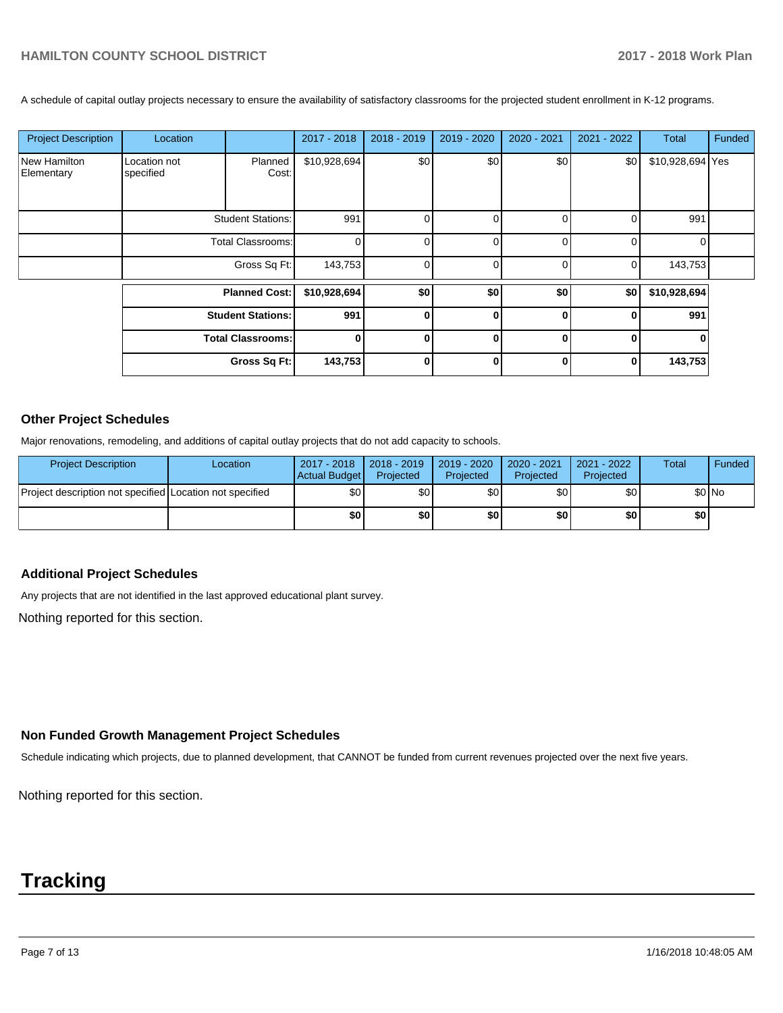A schedule of capital outlay projects necessary to ensure the availability of satisfactory classrooms for the projected student enrollment in K-12 programs.

| <b>Project Description</b> | Location                  |                          | 2017 - 2018  | 2018 - 2019 | 2019 - 2020 | 2020 - 2021 | 2021 - 2022 | Total            | Funded |
|----------------------------|---------------------------|--------------------------|--------------|-------------|-------------|-------------|-------------|------------------|--------|
| New Hamilton<br>Elementary | Location not<br>specified | Planned<br>Cost:         | \$10,928,694 | \$0         | \$0         | \$0         | \$0         | \$10,928,694 Yes |        |
|                            |                           | <b>Student Stations:</b> | 991          | 0           | 0           |             | 0           | 991              |        |
|                            |                           | <b>Total Classrooms:</b> | $\Omega$     |             | $\Omega$    |             | 0           | $\Omega$         |        |
|                            |                           | Gross Sq Ft:             | 143,753      |             | $\Omega$    |             | 0           | 143,753          |        |
|                            |                           | <b>Planned Cost:</b>     | \$10,928,694 | \$0         | \$0         | \$0         | \$0         | \$10,928,694     |        |
|                            |                           | <b>Student Stations:</b> | 991          |             | $\bf{0}$    | U           | $\bf{0}$    | 991              |        |
|                            |                           | <b>Total Classrooms:</b> | $\bf{0}$     |             | $\bf{0}$    | 0           | $\bf{0}$    |                  |        |
|                            |                           | Gross Sq Ft:             | 143,753      |             | 0           | 0           | 0           | 143,753          |        |
|                            |                           |                          |              |             |             |             |             |                  |        |

#### **Other Project Schedules**

Major renovations, remodeling, and additions of capital outlay projects that do not add capacity to schools.

| <b>Project Description</b>                               | Location | 2017 - 2018   2018 - 2019<br>Actual Budget | Projected        | 2019 - 2020<br>Projected | 2020 - 2021<br>Projected | 2021 - 2022<br>Projected | <b>Total</b> | Funded |
|----------------------------------------------------------|----------|--------------------------------------------|------------------|--------------------------|--------------------------|--------------------------|--------------|--------|
| Proiect description not specified Location not specified |          | \$0                                        | \$0 <sub>1</sub> | \$0                      | \$0 <sub>1</sub>         | \$0                      |              | \$0 No |
|                                                          |          | \$0                                        | \$O              | \$0                      | \$0 I                    | \$0                      | \$0          |        |

#### **Additional Project Schedules**

Any projects that are not identified in the last approved educational plant survey.

Nothing reported for this section.

# **Non Funded Growth Management Project Schedules**

Schedule indicating which projects, due to planned development, that CANNOT be funded from current revenues projected over the next five years.

Nothing reported for this section.

# **Tracking**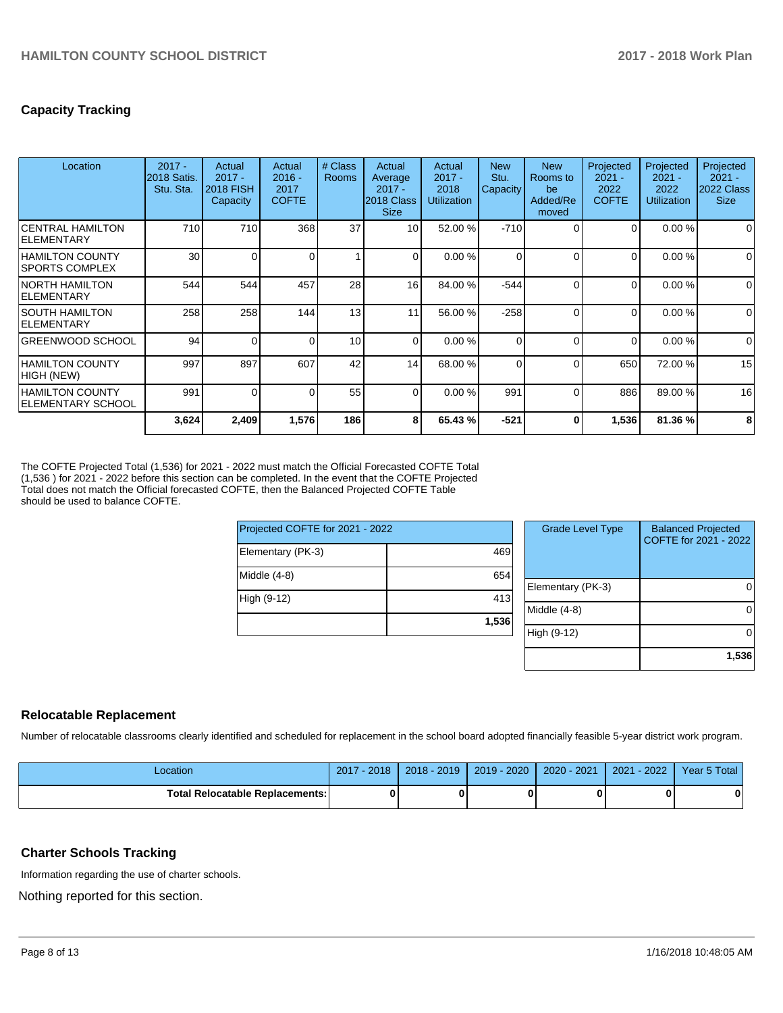# **Capacity Tracking**

| Location                                        | $2017 -$<br>2018 Satis.<br>Stu. Sta. | Actual<br>$2017 -$<br><b>2018 FISH</b><br>Capacity | Actual<br>$2016 -$<br>2017<br><b>COFTE</b> | # Class<br>Rooms | Actual<br>Average<br>$2017 -$<br>2018 Class<br><b>Size</b> | Actual<br>$2017 -$<br>2018<br><b>Utilization</b> | <b>New</b><br>Stu.<br>Capacity | <b>New</b><br>Rooms to<br>be<br>Added/Re<br>moved | Projected<br>$2021 -$<br>2022<br><b>COFTE</b> | Projected<br>$2021 -$<br>2022<br><b>Utilization</b> | Projected<br>$2021 -$<br>2022 Class<br><b>Size</b> |
|-------------------------------------------------|--------------------------------------|----------------------------------------------------|--------------------------------------------|------------------|------------------------------------------------------------|--------------------------------------------------|--------------------------------|---------------------------------------------------|-----------------------------------------------|-----------------------------------------------------|----------------------------------------------------|
| <b>CENTRAL HAMILTON</b><br><b>IELEMENTARY</b>   | 710                                  | 710                                                | 368                                        | 37               | 10                                                         | 52.00 %                                          | $-710$                         | $\Omega$                                          | 0                                             | 0.00%                                               | 0                                                  |
| <b>HAMILTON COUNTY</b><br><b>SPORTS COMPLEX</b> | 30                                   | 0                                                  |                                            | 1                | 0                                                          | 0.00%                                            | 0                              | $\Omega$                                          | 0                                             | 0.00%                                               | 0                                                  |
| <b>NORTH HAMILTON</b><br><b>IELEMENTARY</b>     | 544                                  | 544                                                | 457                                        | 28               | 16                                                         | 84.00 %                                          | $-544$                         | $\Omega$                                          | 0                                             | 0.00%                                               | $\Omega$                                           |
| ISOUTH HAMILTON<br><b>IELEMENTARY</b>           | 258                                  | 258                                                | 144                                        | 13               | 11                                                         | 56.00 %                                          | $-258$                         | $\Omega$                                          | 0                                             | 0.00%                                               | $\Omega$                                           |
| GREENWOOD SCHOOL                                | 94                                   | 0                                                  |                                            | 10 <sup>1</sup>  | $\Omega$                                                   | 0.00%                                            | 0                              | $\Omega$                                          | $\Omega$                                      | 0.00%                                               | $\Omega$                                           |
| <b>HAMILTON COUNTY</b><br>HIGH (NEW)            | 997                                  | 897                                                | 607                                        | 42               | 14                                                         | 68.00 %                                          | 0                              | $\Omega$                                          | 650                                           | 72.00 %                                             | 15                                                 |
| <b>HAMILTON COUNTY</b><br> ELEMENTARY SCHOOL    | 991                                  | 0                                                  |                                            | 55               | $\Omega$                                                   | 0.00 %                                           | 991                            | $\Omega$                                          | 886                                           | 89.00 %                                             | 16                                                 |
|                                                 | 3,624                                | 2,409                                              | 1,576                                      | 186              | 8                                                          | 65.43 %                                          | $-521$                         | 0                                                 | 1,536                                         | 81.36 %                                             | 8                                                  |

The COFTE Projected Total (1,536) for 2021 - 2022 must match the Official Forecasted COFTE Total (1,536 ) for 2021 - 2022 before this section can be completed. In the event that the COFTE Projected Total does not match the Official forecasted COFTE, then the Balanced Projected COFTE Table should be used to balance COFTE.

 $Prejecte$ 

| Projected COFTE for 2021 - 2022 |       | <b>Grade Level Type</b> | <b>Balanced Projected</b><br>COFTE for 2021 - 2022 |
|---------------------------------|-------|-------------------------|----------------------------------------------------|
| Elementary (PK-3)               | 469   |                         |                                                    |
| Middle (4-8)                    | 654   |                         |                                                    |
|                                 |       | Elementary (PK-3)       | 01                                                 |
| High (9-12)                     | 413   |                         |                                                    |
|                                 |       | Middle (4-8)            | 01                                                 |
|                                 | 1,536 |                         |                                                    |
|                                 |       | High (9-12)             | 01                                                 |
|                                 |       |                         |                                                    |
|                                 |       |                         | 1,536                                              |

#### **Relocatable Replacement**

Number of relocatable classrooms clearly identified and scheduled for replacement in the school board adopted financially feasible 5-year district work program.

| Location                         | $-2018$<br>2017 | $2018 - 2019$ | 2019 - 2020 | 2020 - 2021 | $-2022$<br>2021 | Year 5 Total |
|----------------------------------|-----------------|---------------|-------------|-------------|-----------------|--------------|
| Total Relocatable Replacements:I |                 |               |             |             |                 | 0            |

#### **Charter Schools Tracking**

Information regarding the use of charter schools.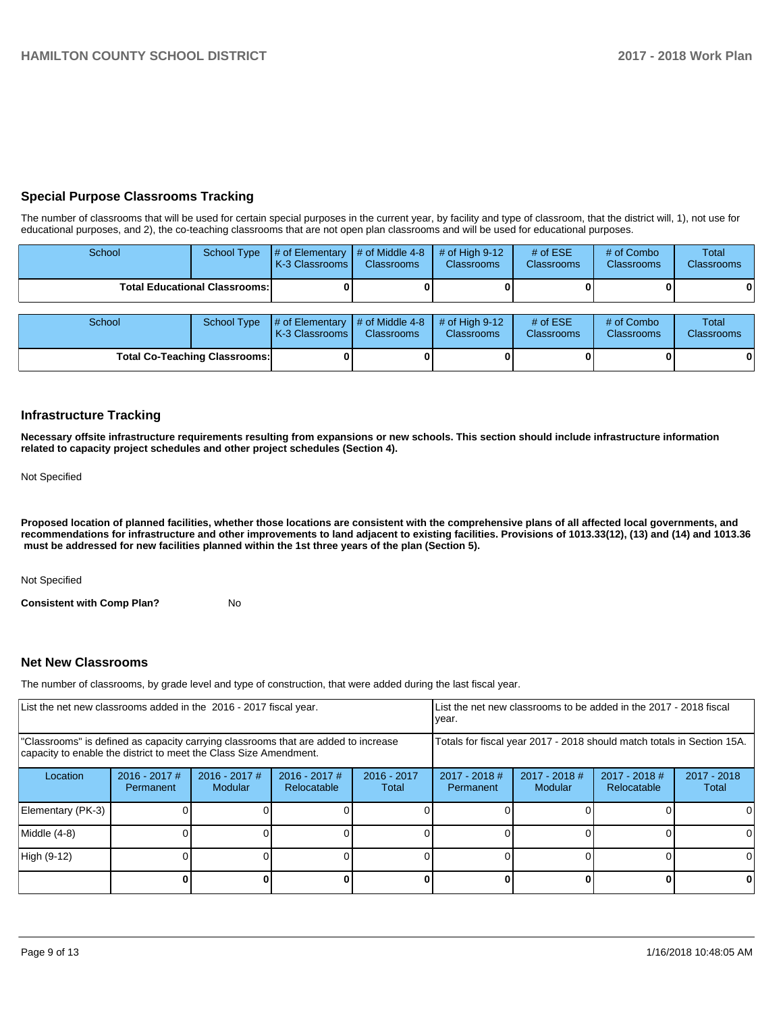# **Special Purpose Classrooms Tracking**

The number of classrooms that will be used for certain special purposes in the current year, by facility and type of classroom, that the district will, 1), not use for educational purposes, and 2), the co-teaching classrooms that are not open plan classrooms and will be used for educational purposes.

| School |                                      | School Type $\frac{1}{4}$ of Elementary $\frac{1}{4}$ of Middle 4-8 $\frac{1}{4}$ of High 9-12<br>K-3 Classrooms | <b>Classrooms</b> | <b>Classrooms</b> | # of $ESE$<br><b>Classrooms</b> | # of Combo<br>Classrooms | Total<br><b>Classrooms</b> |
|--------|--------------------------------------|------------------------------------------------------------------------------------------------------------------|-------------------|-------------------|---------------------------------|--------------------------|----------------------------|
|        | <b>Total Educational Classrooms:</b> |                                                                                                                  |                   |                   |                                 | 01                       | 0                          |

| School |                                      | School Type $\left  \frac{1}{2}$ of Elementary $\left  \frac{1}{2}$ of Middle 4-8 $\left  \frac{1}{2}$ of High 9-12<br><b>K-3 Classrooms I</b> | <b>Classrooms</b> | <b>Classrooms</b> | $#$ of ESE<br><b>Classrooms</b> | # of Combo<br><b>Classrooms</b> | Total<br><b>Classrooms</b> |
|--------|--------------------------------------|------------------------------------------------------------------------------------------------------------------------------------------------|-------------------|-------------------|---------------------------------|---------------------------------|----------------------------|
|        | <b>Total Co-Teaching Classrooms:</b> |                                                                                                                                                |                   |                   |                                 |                                 | 0                          |

#### **Infrastructure Tracking**

**Necessary offsite infrastructure requirements resulting from expansions or new schools. This section should include infrastructure information related to capacity project schedules and other project schedules (Section 4).** 

Not Specified

**Proposed location of planned facilities, whether those locations are consistent with the comprehensive plans of all affected local governments, and recommendations for infrastructure and other improvements to land adjacent to existing facilities. Provisions of 1013.33(12), (13) and (14) and 1013.36 must be addressed for new facilities planned within the 1st three years of the plan (Section 5).** 

Not Specified

**Consistent with Comp Plan?** No

#### **Net New Classrooms**

The number of classrooms, by grade level and type of construction, that were added during the last fiscal year.

| List the net new classrooms added in the 2016 - 2017 fiscal year.                                                                                       |                              |                                 |                              |                        | List the net new classrooms to be added in the 2017 - 2018 fiscal<br>year. |                          |                                |                        |  |
|---------------------------------------------------------------------------------------------------------------------------------------------------------|------------------------------|---------------------------------|------------------------------|------------------------|----------------------------------------------------------------------------|--------------------------|--------------------------------|------------------------|--|
| "Classrooms" is defined as capacity carrying classrooms that are added to increase<br>capacity to enable the district to meet the Class Size Amendment. |                              |                                 |                              |                        | Totals for fiscal year 2017 - 2018 should match totals in Section 15A.     |                          |                                |                        |  |
| Location                                                                                                                                                | $2016 - 2017$ #<br>Permanent | 2016 - 2017 #<br><b>Modular</b> | 2016 - 2017 #<br>Relocatable | $2016 - 2017$<br>Total | $2017 - 2018$ #<br>Permanent                                               | 2017 - 2018 #<br>Modular | $2017 - 2018$ #<br>Relocatable | $2017 - 2018$<br>Total |  |
| Elementary (PK-3)                                                                                                                                       |                              |                                 |                              |                        |                                                                            |                          |                                |                        |  |
| Middle (4-8)                                                                                                                                            |                              |                                 |                              |                        |                                                                            |                          |                                |                        |  |
| High (9-12)                                                                                                                                             |                              |                                 |                              |                        |                                                                            |                          |                                |                        |  |
|                                                                                                                                                         |                              |                                 |                              |                        |                                                                            |                          |                                |                        |  |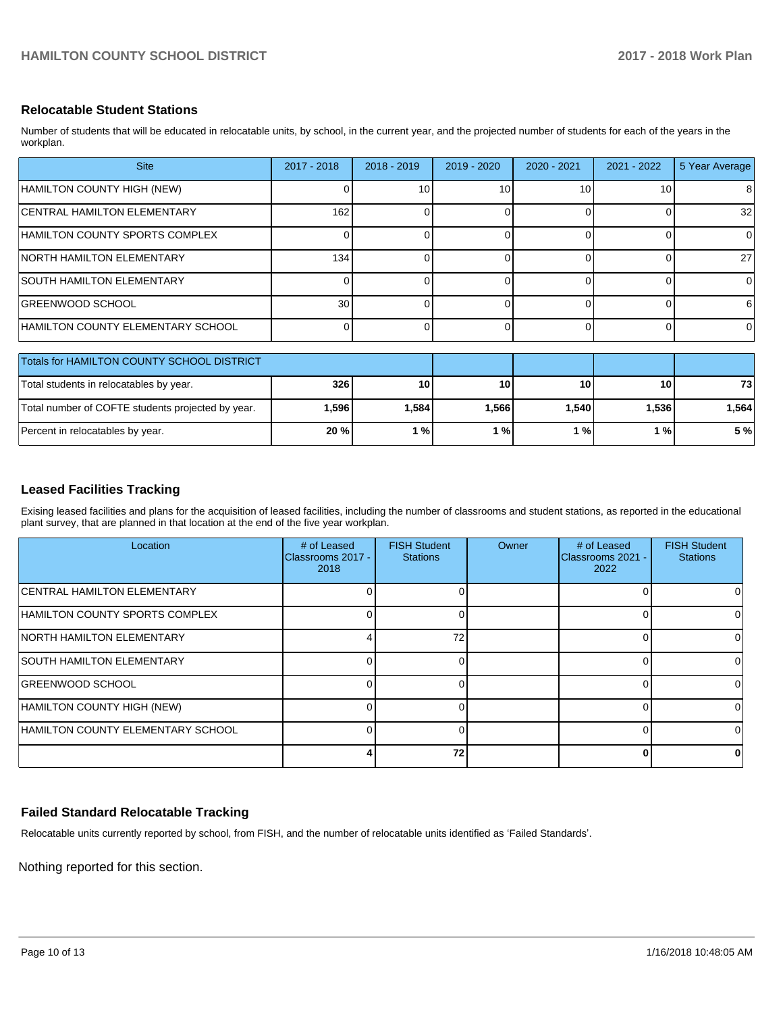## **Relocatable Student Stations**

Number of students that will be educated in relocatable units, by school, in the current year, and the projected number of students for each of the years in the workplan.

| <b>Site</b>                                       | 2017 - 2018     | $2018 - 2019$ | 2019 - 2020 | 2020 - 2021 | $2021 - 2022$ | 5 Year Average |
|---------------------------------------------------|-----------------|---------------|-------------|-------------|---------------|----------------|
| HAMILTON COUNTY HIGH (NEW)                        |                 | 10            | 10          | 10          | 10            | 8              |
| <b>CENTRAL HAMILTON ELEMENTARY</b>                | 162             |               | 0           | $\Omega$    |               | 32             |
| HAMILTON COUNTY SPORTS COMPLEX                    |                 |               | 0           | $\Omega$    |               | $\Omega$       |
| NORTH HAMILTON ELEMENTARY                         | 134             |               | 0           | $\Omega$    |               | 27             |
| <b>SOUTH HAMILTON ELEMENTARY</b>                  |                 |               | 0           | $\Omega$    |               | $\Omega$       |
| GREENWOOD SCHOOL                                  | 30 <sup>1</sup> |               | 0           | $\Omega$    |               | 6              |
| HAMILTON COUNTY ELEMENTARY SCHOOL                 | $\Omega$        |               | 0           | $\Omega$    |               | $\Omega$       |
| Totals for HAMILTON COUNTY SCHOOL DISTRICT        |                 |               |             |             |               |                |
|                                                   |                 |               |             |             |               |                |
| Total students in relocatables by year.           | 326             | 10            | 10          | 10          | 10            | 73             |
| Total number of COFTE students projected by year. | 1,596           | 1,584         | 1,566       | 1,540       | 1,536         | 1,564          |
| Percent in relocatables by year.                  | 20 %            | 1%            | 1%          | 1%          | 1%            | 5%             |

# **Leased Facilities Tracking**

Exising leased facilities and plans for the acquisition of leased facilities, including the number of classrooms and student stations, as reported in the educational plant survey, that are planned in that location at the end of the five year workplan.

| Location                                 | # of Leased<br>Classrooms 2017 -<br>2018 | <b>FISH Student</b><br><b>Stations</b> | <b>Owner</b> | # of Leased<br>Classrooms 2021 -<br>2022 | <b>FISH Student</b><br><b>Stations</b> |
|------------------------------------------|------------------------------------------|----------------------------------------|--------------|------------------------------------------|----------------------------------------|
| <b>CENTRAL HAMILTON ELEMENTARY</b>       |                                          |                                        |              |                                          |                                        |
| HAMILTON COUNTY SPORTS COMPLEX           |                                          |                                        |              |                                          | 0                                      |
| <b>INORTH HAMILTON ELEMENTARY</b>        |                                          | 72                                     |              |                                          | 0                                      |
| <b>SOUTH HAMILTON ELEMENTARY</b>         |                                          |                                        |              |                                          | 0                                      |
| <b>GREENWOOD SCHOOL</b>                  |                                          |                                        |              | ŋ                                        | 0                                      |
| HAMILTON COUNTY HIGH (NEW)               |                                          |                                        |              |                                          | 0                                      |
| <b>HAMILTON COUNTY ELEMENTARY SCHOOL</b> |                                          |                                        |              |                                          | ΩI                                     |
|                                          |                                          | 72                                     |              |                                          | 0                                      |

# **Failed Standard Relocatable Tracking**

Relocatable units currently reported by school, from FISH, and the number of relocatable units identified as 'Failed Standards'.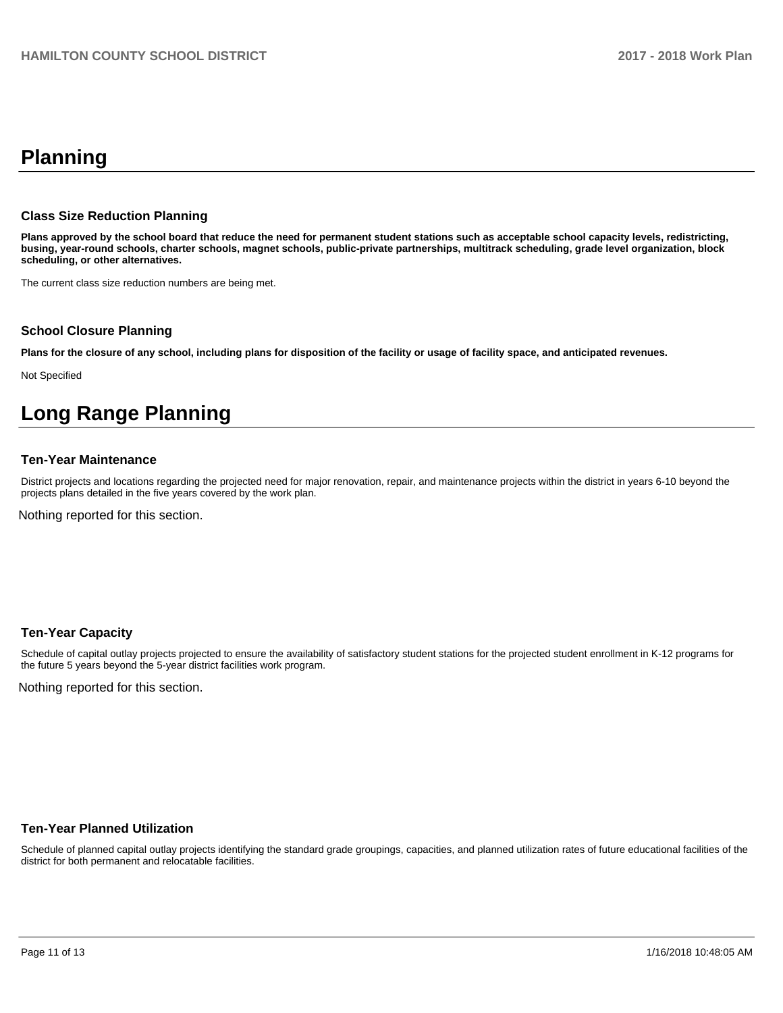# **Planning**

#### **Class Size Reduction Planning**

**Plans approved by the school board that reduce the need for permanent student stations such as acceptable school capacity levels, redistricting, busing, year-round schools, charter schools, magnet schools, public-private partnerships, multitrack scheduling, grade level organization, block scheduling, or other alternatives.**

The current class size reduction numbers are being met.

#### **School Closure Planning**

**Plans for the closure of any school, including plans for disposition of the facility or usage of facility space, and anticipated revenues.** 

Not Specified

# **Long Range Planning**

## **Ten-Year Maintenance**

District projects and locations regarding the projected need for major renovation, repair, and maintenance projects within the district in years 6-10 beyond the projects plans detailed in the five years covered by the work plan.

Nothing reported for this section.

#### **Ten-Year Capacity**

Schedule of capital outlay projects projected to ensure the availability of satisfactory student stations for the projected student enrollment in K-12 programs for the future 5 years beyond the 5-year district facilities work program.

Nothing reported for this section.

#### **Ten-Year Planned Utilization**

Schedule of planned capital outlay projects identifying the standard grade groupings, capacities, and planned utilization rates of future educational facilities of the district for both permanent and relocatable facilities.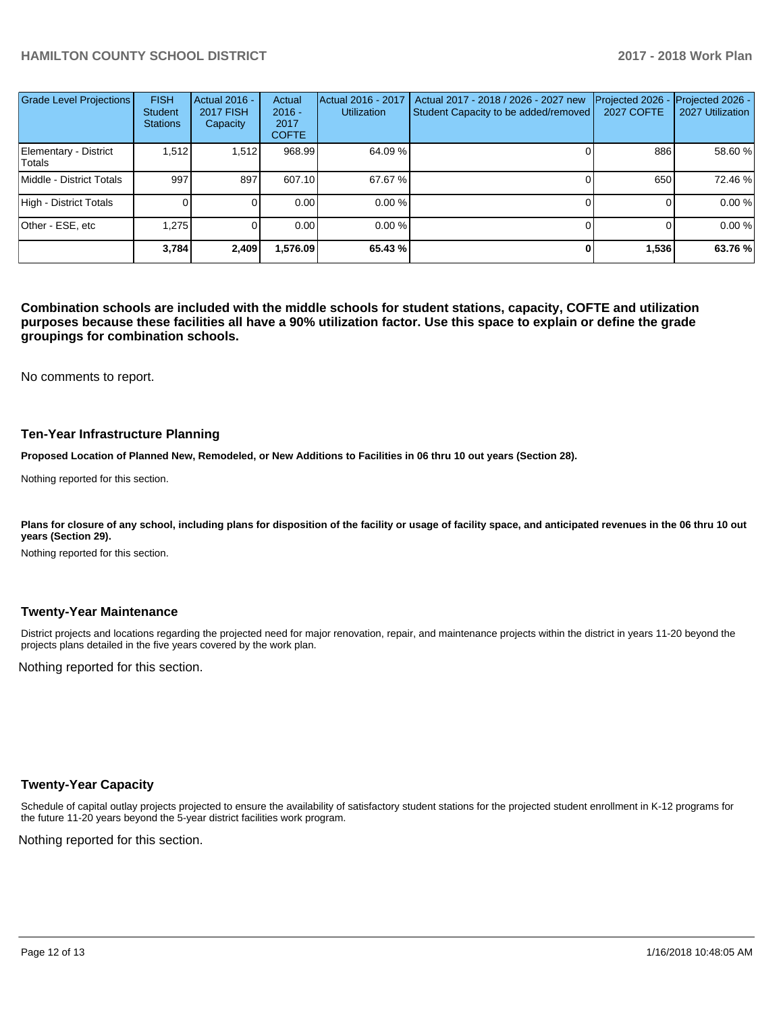# **HAMILTON COUNTY SCHOOL DISTRICT 2017 - 2018 Work Plan**

| Grade Level Projections         | <b>FISH</b><br><b>Student</b><br><b>Stations</b> | Actual 2016 -<br><b>2017 FISH</b><br>Capacity | Actual<br>$2016 -$<br>2017<br><b>COFTE</b> | Actual 2016 - 2017<br><b>Utilization</b> | Actual 2017 - 2018 / 2026 - 2027 new<br>Student Capacity to be added/removed | Projected 2026<br><b>2027 COFTE</b> | Projected 2026 -<br>2027 Utilization |
|---------------------------------|--------------------------------------------------|-----------------------------------------------|--------------------------------------------|------------------------------------------|------------------------------------------------------------------------------|-------------------------------------|--------------------------------------|
| Elementary - District<br>Totals | 1,512                                            | 1,512                                         | 968.99                                     | 64.09 %                                  |                                                                              | 886                                 | 58.60 %                              |
| Middle - District Totals        | 997                                              | 897                                           | 607.10                                     | 67.67 %                                  |                                                                              | 650                                 | 72.46 %                              |
| High - District Totals          |                                                  |                                               | 0.00                                       | 0.00%                                    |                                                                              |                                     | 0.00 %                               |
| Other - ESE, etc                | 1.275                                            |                                               | 0.00                                       | 0.00%                                    |                                                                              |                                     | 0.00 %                               |
|                                 | 3.784                                            | 2,409                                         | 1,576.09                                   | 65.43 %                                  |                                                                              | 1,536                               | 63.76 %                              |

**Combination schools are included with the middle schools for student stations, capacity, COFTE and utilization purposes because these facilities all have a 90% utilization factor. Use this space to explain or define the grade groupings for combination schools.** 

No comments to report.

#### **Ten-Year Infrastructure Planning**

**Proposed Location of Planned New, Remodeled, or New Additions to Facilities in 06 thru 10 out years (Section 28).**

Nothing reported for this section.

Plans for closure of any school, including plans for disposition of the facility or usage of facility space, and anticipated revenues in the 06 thru 10 out **years (Section 29).**

Nothing reported for this section.

#### **Twenty-Year Maintenance**

District projects and locations regarding the projected need for major renovation, repair, and maintenance projects within the district in years 11-20 beyond the projects plans detailed in the five years covered by the work plan.

Nothing reported for this section.

#### **Twenty-Year Capacity**

Schedule of capital outlay projects projected to ensure the availability of satisfactory student stations for the projected student enrollment in K-12 programs for the future 11-20 years beyond the 5-year district facilities work program.